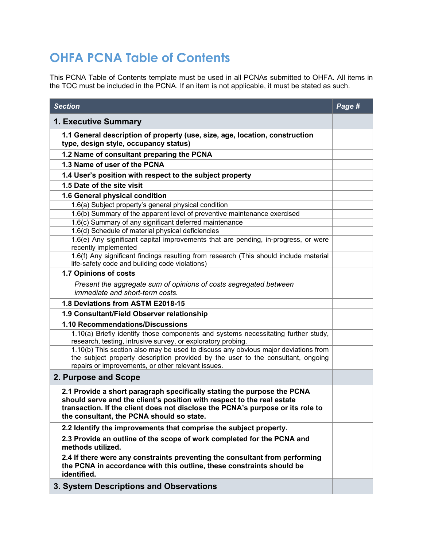## **OHFA PCNA Table of Contents**

This PCNA Table of Contents template must be used in all PCNAs submitted to OHFA. All items in the TOC must be included in the PCNA. If an item is not applicable, it must be stated as such.

| <b>Section</b>                                                                                                                                                                                                                                                                   | Page # |
|----------------------------------------------------------------------------------------------------------------------------------------------------------------------------------------------------------------------------------------------------------------------------------|--------|
| 1. Executive Summary                                                                                                                                                                                                                                                             |        |
| 1.1 General description of property (use, size, age, location, construction<br>type, design style, occupancy status)                                                                                                                                                             |        |
| 1.2 Name of consultant preparing the PCNA                                                                                                                                                                                                                                        |        |
| 1.3 Name of user of the PCNA                                                                                                                                                                                                                                                     |        |
| 1.4 User's position with respect to the subject property                                                                                                                                                                                                                         |        |
| 1.5 Date of the site visit                                                                                                                                                                                                                                                       |        |
| 1.6 General physical condition                                                                                                                                                                                                                                                   |        |
| 1.6(a) Subject property's general physical condition                                                                                                                                                                                                                             |        |
| 1.6(b) Summary of the apparent level of preventive maintenance exercised                                                                                                                                                                                                         |        |
| 1.6(c) Summary of any significant deferred maintenance<br>1.6(d) Schedule of material physical deficiencies                                                                                                                                                                      |        |
| 1.6(e) Any significant capital improvements that are pending, in-progress, or were<br>recently implemented                                                                                                                                                                       |        |
| 1.6(f) Any significant findings resulting from research (This should include material<br>life-safety code and building code violations)                                                                                                                                          |        |
| 1.7 Opinions of costs                                                                                                                                                                                                                                                            |        |
| Present the aggregate sum of opinions of costs segregated between<br>immediate and short-term costs.                                                                                                                                                                             |        |
| 1.8 Deviations from ASTM E2018-15                                                                                                                                                                                                                                                |        |
| 1.9 Consultant/Field Observer relationship                                                                                                                                                                                                                                       |        |
| 1.10 Recommendations/Discussions                                                                                                                                                                                                                                                 |        |
| 1.10(a) Briefly identify those components and systems necessitating further study,<br>research, testing, intrusive survey, or exploratory probing.                                                                                                                               |        |
| 1.10(b) This section also may be used to discuss any obvious major deviations from<br>the subject property description provided by the user to the consultant, ongoing<br>repairs or improvements, or other relevant issues.                                                     |        |
| 2. Purpose and Scope                                                                                                                                                                                                                                                             |        |
| 2.1 Provide a short paragraph specifically stating the purpose the PCNA<br>should serve and the client's position with respect to the real estate<br>transaction. If the client does not disclose the PCNA's purpose or its role to<br>the consultant, the PCNA should so state. |        |
| 2.2 Identify the improvements that comprise the subject property.                                                                                                                                                                                                                |        |
| 2.3 Provide an outline of the scope of work completed for the PCNA and<br>methods utilized.                                                                                                                                                                                      |        |
| 2.4 If there were any constraints preventing the consultant from performing<br>the PCNA in accordance with this outline, these constraints should be<br>identified.                                                                                                              |        |
| 3. System Descriptions and Observations                                                                                                                                                                                                                                          |        |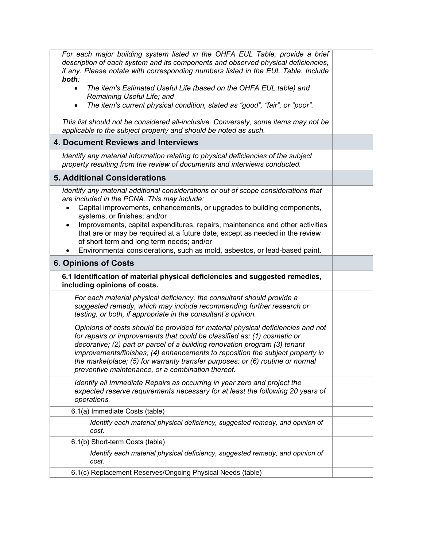| For each major building system listed in the OHFA EUL Table, provide a brief<br>description of each system and its components and observed physical deficiencies,<br>if any. Please notate with corresponding numbers listed in the EUL Table. Include                                                                                                                                                                                                           |  |
|------------------------------------------------------------------------------------------------------------------------------------------------------------------------------------------------------------------------------------------------------------------------------------------------------------------------------------------------------------------------------------------------------------------------------------------------------------------|--|
| both:<br>The item's Estimated Useful Life (based on the OHFA EUL table) and<br>$\bullet$<br>Remaining Useful Life; and                                                                                                                                                                                                                                                                                                                                           |  |
| The item's current physical condition, stated as "good", "fair", or "poor".<br>$\bullet$                                                                                                                                                                                                                                                                                                                                                                         |  |
| This list should not be considered all-inclusive. Conversely, some items may not be<br>applicable to the subject property and should be noted as such.                                                                                                                                                                                                                                                                                                           |  |
| 4. Document Reviews and Interviews                                                                                                                                                                                                                                                                                                                                                                                                                               |  |
| Identify any material information relating to physical deficiencies of the subject<br>property resulting from the review of documents and interviews conducted.                                                                                                                                                                                                                                                                                                  |  |
| <b>5. Additional Considerations</b>                                                                                                                                                                                                                                                                                                                                                                                                                              |  |
| Identify any material additional considerations or out of scope considerations that<br>are included in the PCNA. This may include:                                                                                                                                                                                                                                                                                                                               |  |
| Capital improvements, enhancements, or upgrades to building components,<br>$\bullet$<br>systems, or finishes; and/or                                                                                                                                                                                                                                                                                                                                             |  |
| Improvements, capital expenditures, repairs, maintenance and other activities<br>$\bullet$<br>that are or may be required at a future date, except as needed in the review<br>of short term and long term needs; and/or<br>Environmental considerations, such as mold, asbestos, or lead-based paint.<br>$\bullet$                                                                                                                                               |  |
| <b>6. Opinions of Costs</b>                                                                                                                                                                                                                                                                                                                                                                                                                                      |  |
| 6.1 Identification of material physical deficiencies and suggested remedies,                                                                                                                                                                                                                                                                                                                                                                                     |  |
| including opinions of costs.                                                                                                                                                                                                                                                                                                                                                                                                                                     |  |
| For each material physical deficiency, the consultant should provide a<br>suggested remedy, which may include recommending further research or<br>testing, or both, if appropriate in the consultant's opinion.                                                                                                                                                                                                                                                  |  |
| Opinions of costs should be provided for material physical deficiencies and not<br>for repairs or improvements that could be classified as: (1) cosmetic or<br>decorative; (2) part or parcel of a building renovation program (3) tenant<br>improvements/finishes; (4) enhancements to reposition the subject property in<br>the marketplace; (5) for warranty transfer purposes; or (6) routine or normal<br>preventive maintenance, or a combination thereof. |  |
| Identify all Immediate Repairs as occurring in year zero and project the<br>expected reserve requirements necessary for at least the following 20 years of<br>operations.                                                                                                                                                                                                                                                                                        |  |
| 6.1(a) Immediate Costs (table)                                                                                                                                                                                                                                                                                                                                                                                                                                   |  |
| Identify each material physical deficiency, suggested remedy, and opinion of<br>cost.                                                                                                                                                                                                                                                                                                                                                                            |  |
| 6.1(b) Short-term Costs (table)                                                                                                                                                                                                                                                                                                                                                                                                                                  |  |
| Identify each material physical deficiency, suggested remedy, and opinion of<br>cost.                                                                                                                                                                                                                                                                                                                                                                            |  |
| 6.1(c) Replacement Reserves/Ongoing Physical Needs (table)                                                                                                                                                                                                                                                                                                                                                                                                       |  |